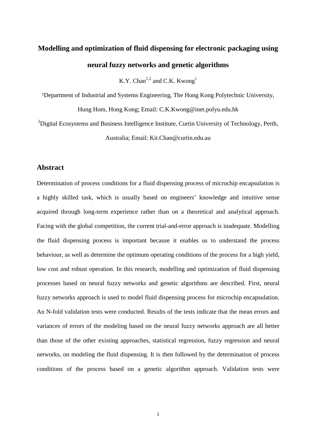# **Modelling and optimization of fluid dispensing for electronic packaging using neural fuzzy networks and genetic algorithms**

K.Y. Chan<sup>1,2</sup> and C.K. Kwong<sup>1</sup>

<sup>1</sup>Department of Industrial and Systems Engineering, The Hong Kong Polytechnic University, Hung Hom, Hong Kong; Email: C.K.Kwong@inet.polyu.edu.hk

 $2$ Digital Ecosystems and Business Intelligence Institute, Curtin University of Technology, Perth, Australia; Email: Kit.Chan@curtin.edu.au

## **Abstract**

Determination of process conditions for a fluid dispensing process of microchip encapsulation is a highly skilled task, which is usually based on engineers' knowledge and intuitive sense acquired through long-term experience rather than on a theoretical and analytical approach. Facing with the global competition, the current trial-and-error approach is inadequate. Modelling the fluid dispensing process is important because it enables us to understand the process behaviour, as well as determine the optimum operating conditions of the process for a high yield, low cost and robust operation. In this research, modelling and optimization of fluid dispensing processes based on neural fuzzy networks and genetic algorithms are described. First, neural fuzzy networks approach is used to model fluid dispensing process for microchip encapsulation. An N-fold validation tests were conducted. Results of the tests indicate that the mean errors and variances of errors of the modeling based on the neural fuzzy networks approach are all better than those of the other existing approaches, statistical regression, fuzzy regression and neural networks, on modeling the fluid dispensing. It is then followed by the determination of process conditions of the process based on a genetic algorithm approach. Validation tests were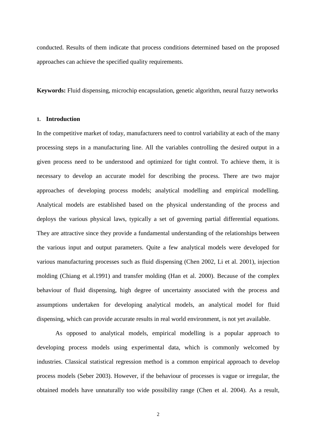conducted. Results of them indicate that process conditions determined based on the proposed approaches can achieve the specified quality requirements.

**Keywords:** Fluid dispensing, microchip encapsulation, genetic algorithm, neural fuzzy networks

#### **1. Introduction**

In the competitive market of today, manufacturers need to control variability at each of the many processing steps in a manufacturing line. All the variables controlling the desired output in a given process need to be understood and optimized for tight control. To achieve them, it is necessary to develop an accurate model for describing the process. There are two major approaches of developing process models; analytical modelling and empirical modelling. Analytical models are established based on the physical understanding of the process and deploys the various physical laws, typically a set of governing partial differential equations. They are attractive since they provide a fundamental understanding of the relationships between the various input and output parameters. Quite a few analytical models were developed for various manufacturing processes such as fluid dispensing (Chen 2002, Li et al. 2001), injection molding (Chiang et al.1991) and transfer molding (Han et al. 2000). Because of the complex behaviour of fluid dispensing, high degree of uncertainty associated with the process and assumptions undertaken for developing analytical models, an analytical model for fluid dispensing, which can provide accurate results in real world environment, is not yet available.

As opposed to analytical models, empirical modelling is a popular approach to developing process models using experimental data, which is commonly welcomed by industries. Classical statistical regression method is a common empirical approach to develop process models (Seber 2003). However, if the behaviour of processes is vague or irregular, the obtained models have unnaturally too wide possibility range (Chen et al. 2004). As a result,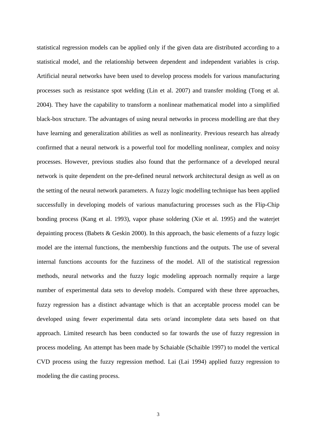statistical regression models can be applied only if the given data are distributed according to a statistical model, and the relationship between dependent and independent variables is crisp. Artificial neural networks have been used to develop process models for various manufacturing processes such as resistance spot welding (Lin et al. 2007) and transfer molding (Tong et al. 2004). They have the capability to transform a nonlinear mathematical model into a simplified black-box structure. The advantages of using neural networks in process modelling are that they have learning and generalization abilities as well as nonlinearity. Previous research has already confirmed that a neural network is a powerful tool for modelling nonlinear, complex and noisy processes. However, previous studies also found that the performance of a developed neural network is quite dependent on the pre-defined neural network architectural design as well as on the setting of the neural network parameters. A fuzzy logic modelling technique has been applied successfully in developing models of various manufacturing processes such as the Flip-Chip bonding process (Kang et al. 1993), vapor phase soldering (Xie et al. 1995) and the waterjet depainting process (Babets & Geskin 2000). In this approach, the basic elements of a fuzzy logic model are the internal functions, the membership functions and the outputs. The use of several internal functions accounts for the fuzziness of the model. All of the statistical regression methods, neural networks and the fuzzy logic modeling approach normally require a large number of experimental data sets to develop models. Compared with these three approaches, fuzzy regression has a distinct advantage which is that an acceptable process model can be developed using fewer experimental data sets or/and incomplete data sets based on that approach. Limited research has been conducted so far towards the use of fuzzy regression in process modeling. An attempt has been made by Schaiable (Schaible 1997) to model the vertical CVD process using the fuzzy regression method. Lai (Lai 1994) applied fuzzy regression to modeling the die casting process.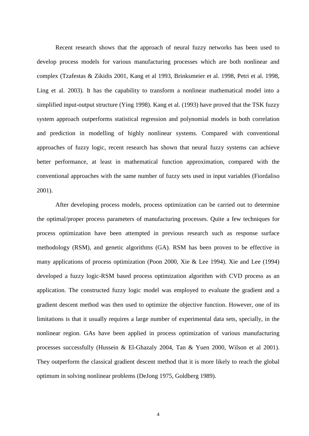Recent research shows that the approach of neural fuzzy networks has been used to develop process models for various manufacturing processes which are both nonlinear and complex (Tzafestas & Zikidis 2001, Kang et al 1993, Brinksmeier et al. 1998, Petri et al. 1998, Ling et al. 2003). It has the capability to transform a nonlinear mathematical model into a simplified input-output structure (Ying 1998). Kang et al. (1993) have proved that the TSK fuzzy system approach outperforms statistical regression and polynomial models in both correlation and prediction in modelling of highly nonlinear systems. Compared with conventional approaches of fuzzy logic, recent research has shown that neural fuzzy systems can achieve better performance, at least in mathematical function approximation, compared with the conventional approaches with the same number of fuzzy sets used in input variables (Fiordaliso 2001).

After developing process models, process optimization can be carried out to determine the optimal/proper process parameters of manufacturing processes. Quite a few techniques for process optimization have been attempted in previous research such as response surface methodology (RSM), and genetic algorithms (GA). RSM has been proven to be effective in many applications of process optimization (Poon 2000, Xie & Lee 1994). Xie and Lee (1994) developed a fuzzy logic-RSM based process optimization algorithm with CVD process as an application. The constructed fuzzy logic model was employed to evaluate the gradient and a gradient descent method was then used to optimize the objective function. However, one of its limitations is that it usually requires a large number of experimental data sets, specially, in the nonlinear region. GAs have been applied in process optimization of various manufacturing processes successfully (Hussein & El-Ghazaly 2004, Tan & Yuen 2000, Wilson et al 2001). They outperform the classical gradient descent method that it is more likely to reach the global optimum in solving nonlinear problems (DeJong 1975, Goldberg 1989).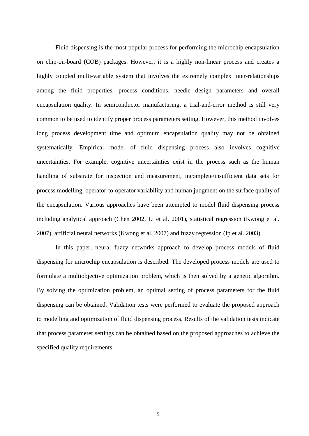Fluid dispensing is the most popular process for performing the microchip encapsulation on chip-on-board (COB) packages. However, it is a highly non-linear process and creates a highly coupled multi-variable system that involves the extremely complex inter-relationships among the fluid properties, process conditions, needle design parameters and overall encapsulation quality. In semiconductor manufacturing, a trial-and-error method is still very common to be used to identify proper process parameters setting. However, this method involves long process development time and optimum encapsulation quality may not be obtained systematically. Empirical model of fluid dispensing process also involves cognitive uncertainties. For example, cognitive uncertainties exist in the process such as the human handling of substrate for inspection and measurement, incomplete/insufficient data sets for process modelling, operator-to-operator variability and human judgment on the surface quality of the encapsulation. Various approaches have been attempted to model fluid dispensing process including analytical approach (Chen 2002, Li et al. 2001), statistical regression (Kwong et al. 2007), artificial neural networks (Kwong et al. 2007) and fuzzy regression (Ip et al. 2003).

In this paper, neural fuzzy networks approach to develop process models of fluid dispensing for microchip encapsulation is described. The developed process models are used to formulate a multiobjective optimization problem, which is then solved by a genetic algorithm. By solving the optimization problem, an optimal setting of process parameters for the fluid dispensing can be obtained. Validation tests were performed to evaluate the proposed approach to modelling and optimization of fluid dispensing process. Results of the validation tests indicate that process parameter settings can be obtained based on the proposed approaches to achieve the specified quality requirements.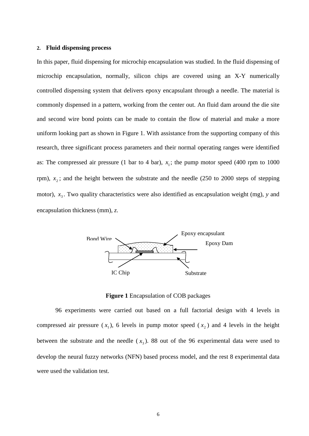#### **2. Fluid dispensing process**

In this paper, fluid dispensing for microchip encapsulation was studied. In the fluid dispensing of microchip encapsulation, normally, silicon chips are covered using an X-Y numerically controlled dispensing system that delivers epoxy encapsulant through a needle. The material is commonly dispensed in a pattern, working from the center out. An fluid dam around the die site and second wire bond points can be made to contain the flow of material and make a more uniform looking part as shown in Figure 1. With assistance from the supporting company of this research, three significant process parameters and their normal operating ranges were identified as: The compressed air pressure (1 bar to 4 bar),  $x_1$ ; the pump motor speed (400 rpm to 1000 rpm),  $x_2$ ; and the height between the substrate and the needle (250 to 2000 steps of stepping motor),  $x_3$ . Two quality characteristics were also identified as encapsulation weight (mg), *y* and encapsulation thickness (mm), *z*.



**Figure 1** Encapsulation of COB packages

96 experiments were carried out based on a full factorial design with 4 levels in compressed air pressure  $(x_1)$ , 6 levels in pump motor speed  $(x_2)$  and 4 levels in the height between the substrate and the needle  $(x_3)$ . 88 out of the 96 experimental data were used to develop the neural fuzzy networks (NFN) based process model, and the rest 8 experimental data were used the validation test.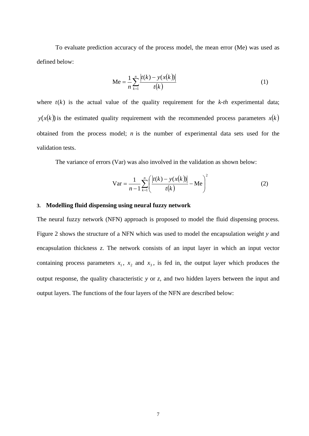To evaluate prediction accuracy of the process model, the mean error (Me) was used as defined below:

$$
Me = \frac{1}{n} \sum_{k=1}^{n} \frac{|t(k) - y(x(k))|}{t(k)}
$$
(1)

where  $t(k)$  is the actual value of the quality requirement for the  $k-th$  experimental data;  $y(x(k))$  is the estimated quality requirement with the recommended process parameters  $x(k)$ obtained from the process model; *n* is the number of experimental data sets used for the validation tests.

The variance of errors (Var) was also involved in the validation as shown below:

$$
\text{Var} = \frac{1}{n-1} \sum_{k=1}^{n} \left( \frac{|t(k) - y(x(k))|}{t(k)} - \text{Me} \right)^2 \tag{2}
$$

#### **3. Modelling fluid dispensing using neural fuzzy network**

The neural fuzzy network (NFN) approach is proposed to model the fluid dispensing process. Figure 2 shows the structure of a NFN which was used to model the encapsulation weight *y* and encapsulation thickness *z*. The network consists of an input layer in which an input vector containing process parameters  $x_1$ ,  $x_2$  and  $x_3$ , is fed in, the output layer which produces the output response, the quality characteristic *y* or *z*, and two hidden layers between the input and output layers. The functions of the four layers of the NFN are described below: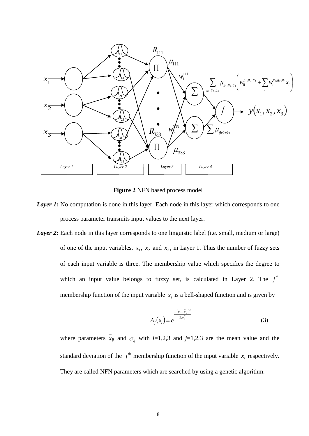

**Figure 2** NFN based process model

- *Layer 1:* No computation is done in this layer. Each node in this layer which corresponds to one process parameter transmits input values to the next layer.
- *Layer 2:* Each node in this layer corresponds to one linguistic label (i.e. small, medium or large) of one of the input variables,  $x_1$ ,  $x_2$  and  $x_3$ , in Layer 1. Thus the number of fuzzy sets of each input variable is three. The membership value which specifies the degree to which an input value belongs to fuzzy set, is calculated in Layer 2. The  $j<sup>th</sup>$ membership function of the input variable  $x_i$  is a bell-shaped function and is given by

$$
A_{ij}(x_i) = e^{-\frac{(x_i - \bar{x}_{ij})^2}{2\sigma_{ij}^2}}
$$
 (3)

where parameters  $\bar{x}_{ij}$  and  $\sigma_{ij}$  with *i*=1,2,3 and *j*=1,2,3 are the mean value and the standard deviation of the  $j<sup>th</sup>$  membership function of the input variable  $x<sub>i</sub>$  respectively. They are called NFN parameters which are searched by using a genetic algorithm.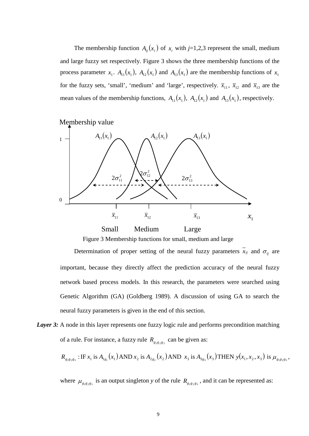The membership function  $A_{ij}(x_i)$  of  $x_i$  with  $j=1,2,3$  represent the small, medium and large fuzzy set respectively. Figure 3 shows the three membership functions of the process parameter  $x_1$ .  $A_{11}(x_1)$ ,  $A_{12}(x_1)$  and  $A_{13}(x_1)$  are the membership functions of  $x_1$ for the fuzzy sets, 'small', 'medium' and 'large', respectively.  $\bar{x}_{11}$ ,  $\bar{x}_{12}$  and  $\bar{x}_{13}$  are the mean values of the membership functions,  $A_{11}(x_1)$ ,  $A_{12}(x_1)$  and  $A_{13}(x_1)$ , respectively.



Figure 3 Membership functions for small, medium and large

Determination of proper setting of the neural fuzzy parameters  $\overline{x}_{ij}$  and  $\sigma_{ij}$  are important, because they directly affect the prediction accuracy of the neural fuzzy network based process models. In this research, the parameters were searched using Genetic Algorithm (GA) (Goldberg 1989). A discussion of using GA to search the neural fuzzy parameters is given in the end of this section.

*Layer 3:* A node in this layer represents one fuzzy logic rule and performs precondition matching of a rule. For instance, a fuzzy rule  $R_{g_1g_2g_3}$  can be given as:

$$
R_{g_1g_2g_3} : \text{IF } x_1 \text{ is } A_{1g_1}(x_1) \text{ AND } x_2 \text{ is } A_{2g_2}(x_2) \text{ AND } x_3 \text{ is } A_{3g_3}(x_3) \text{ THEN } y(x_1, x_2, x_3) \text{ is } \mu_{g_1g_2g_3},
$$

where  $\mu_{g_1g_2g_3}$  is an output singleton *y* of the rule  $R_{g_1g_2g_3}$ , and it can be represented as: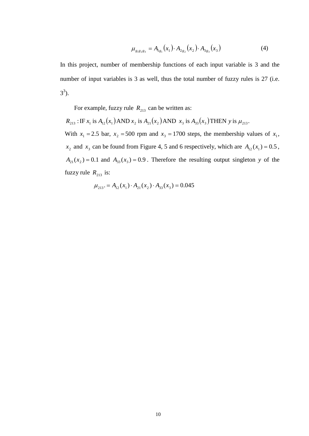$$
\mu_{g_1 g_2 g_3} = A_{1g_1}(x_1) \cdot A_{2g_2}(x_2) \cdot A_{3g_3}(x_3)
$$
 (4)

In this project, number of membership functions of each input variable is 3 and the number of input variables is 3 as well, thus the total number of fuzzy rules is 27 (i.e.  $3^3$ ).

For example, fuzzy rule  $R_{213}$  can be written as:

 $R_{213}$ : IF  $x_1$  is  $A_{12}(x_1)$  AND  $x_2$  is  $A_{21}(x_2)$  AND  $x_3$  is  $A_{33}(x_3)$  THEN y is  $\mu_{213}$ . With  $x_1 = 2.5$  bar,  $x_2 = 500$  rpm and  $x_3 = 1700$  steps, the membership values of  $x_1$ ,  $x_2$  and  $x_3$  can be found from Figure 4, 5 and 6 respectively, which are  $A_{12}(x_1) = 0.5$ ,  $A_{21}(x_2) = 0.1$  and  $A_{33}(x_3) = 0.9$ . Therefore the resulting output singleton *y* of the fuzzy rule  $R_{213}$  is:

$$
\mu_{213} = A_{12}(x_1) \cdot A_{21}(x_2) \cdot A_{33}(x_3) = 0.045
$$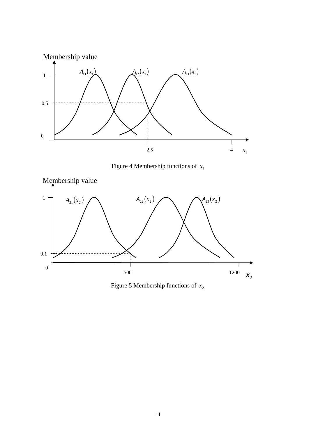

Figure 4 Membership functions of  $x_1$ 



Figure 5 Membership functions of  $x_2$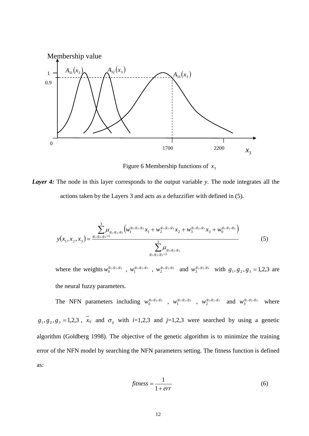

Figure 6 Membership functions of  $x_3$ 

*Layer 4:* The node in this layer corresponds to the output variable *y*. The node integrates all the actions taken by the Layers 3 and acts as a defuzzifier with defined in (5).

$$
y(x_1, x_2, x_3) = \frac{\sum_{s_1, s_2, s_3=1}^{3} \mu_{g_1, g_2, g_3} \left( w_1^{g_1, g_2, g_3} x_1 + w_2^{g_1, g_2, g_3} x_2 + w_3^{g_1, g_2, g_3} x_3 + w_0^{g_1, g_2, g_3} \right)}{\sum_{s_1, s_2, s_3=1}^{3} \mu_{g_1, g_2, g_3}}
$$
(5)

where the weights  $w_0^{g_1,g_2,g_3}$ ,  $w_1^{g_1,g_2,g_3}$ ,  $w_2^{g_1,g_2,g_3}$  and  $w_3^{g_1,g_2,g_3}$  with  $g_1, g_2, g_3 = 1,2,3$  are the neural fuzzy parameters.

The NFN parameters including  $w_0^{g_1,g_2,g_3}$ ,  $w_1^{g_1,g_2,g_3}$ ,  $w_2^{g_1,g_2,g_3}$  and  $w_3^{g_1,g_2,g_3}$  where  $g_1, g_2, g_3 = 1,2,3$ ,  $\overline{x}_{ij}$  and  $\sigma_{ij}$  with *i*=1,2,3 and *j*=1,2,3 were searched by using a genetic algorithm (Goldberg 1998). The objective of the genetic algorithm is to minimize the training error of the NFN model by searching the NFN parameters setting. The fitness function is defined as:

$$
fitness = \frac{1}{1 + err} \tag{6}
$$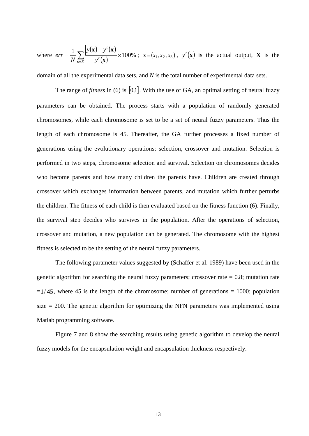where  $err = \frac{1}{N} \sum_{\mathbf{x} = x} \frac{|y(\mathbf{x}) - y'(\mathbf{x})|}{y'(\mathbf{x})} \times 100\%$ *t y y y N err*  $\sum_{\mathbf{x}=X}$   $y'(\mathbf{x})$  $\mathbf{x}$ ) –  $y'(\mathbf{x})$ ;  $\mathbf{x} = (x_1, x_2, x_3)$ ,  $y'(\mathbf{x})$  is the actual output, **X** is the

domain of all the experimental data sets, and *N* is the total number of experimental data sets.

The range of *fitness* in (6) is [0,1]. With the use of GA, an optimal setting of neural fuzzy parameters can be obtained. The process starts with a population of randomly generated chromosomes, while each chromosome is set to be a set of neural fuzzy parameters. Thus the length of each chromosome is 45. Thereafter, the GA further processes a fixed number of generations using the evolutionary operations; selection, crossover and mutation. Selection is performed in two steps, chromosome selection and survival. Selection on chromosomes decides who become parents and how many children the parents have. Children are created through crossover which exchanges information between parents, and mutation which further perturbs the children. The fitness of each child is then evaluated based on the fitness function (6). Finally, the survival step decides who survives in the population. After the operations of selection, crossover and mutation, a new population can be generated. The chromosome with the highest fitness is selected to be the setting of the neural fuzzy parameters.

The following parameter values suggested by (Schaffer et al. 1989) have been used in the genetic algorithm for searching the neural fuzzy parameters; crossover rate  $= 0.8$ ; mutation rate  $=1/45$ , where 45 is the length of the chromosome; number of generations = 1000; population size  $= 200$ . The genetic algorithm for optimizing the NFN parameters was implemented using Matlab programming software.

Figure 7 and 8 show the searching results using genetic algorithm to develop the neural fuzzy models for the encapsulation weight and encapsulation thickness respectively.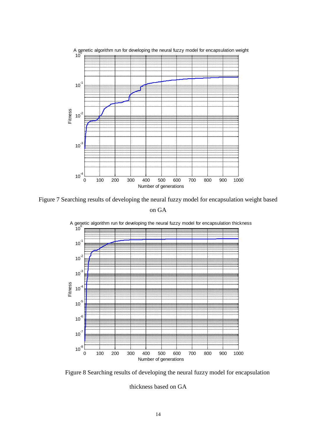

Figure 7 Searching results of developing the neural fuzzy model for encapsulation weight based on GA



100 A genetic algorithm run for developing the neural fuzzy model for encapsulation thickness

Figure 8 Searching results of developing the neural fuzzy model for encapsulation

thickness based on GA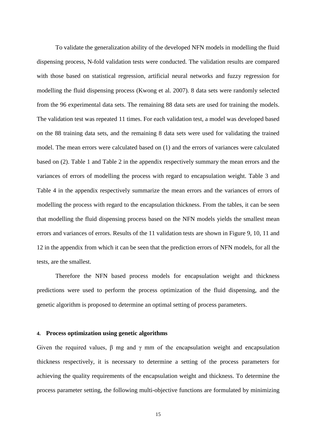To validate the generalization ability of the developed NFN models in modelling the fluid dispensing process, N-fold validation tests were conducted. The validation results are compared with those based on statistical regression, artificial neural networks and fuzzy regression for modelling the fluid dispensing process (Kwong et al. 2007). 8 data sets were randomly selected from the 96 experimental data sets. The remaining 88 data sets are used for training the models. The validation test was repeated 11 times. For each validation test, a model was developed based on the 88 training data sets, and the remaining 8 data sets were used for validating the trained model. The mean errors were calculated based on (1) and the errors of variances were calculated based on (2). Table 1 and Table 2 in the appendix respectively summary the mean errors and the variances of errors of modelling the process with regard to encapsulation weight. Table 3 and Table 4 in the appendix respectively summarize the mean errors and the variances of errors of modelling the process with regard to the encapsulation thickness. From the tables, it can be seen that modelling the fluid dispensing process based on the NFN models yields the smallest mean errors and variances of errors. Results of the 11 validation tests are shown in Figure 9, 10, 11 and 12 in the appendix from which it can be seen that the prediction errors of NFN models, for all the tests, are the smallest.

Therefore the NFN based process models for encapsulation weight and thickness predictions were used to perform the process optimization of the fluid dispensing, and the genetic algorithm is proposed to determine an optimal setting of process parameters.

### **4. Process optimization using genetic algorithms**

Given the required values,  $\beta$  mg and  $\gamma$  mm of the encapsulation weight and encapsulation thickness respectively, it is necessary to determine a setting of the process parameters for achieving the quality requirements of the encapsulation weight and thickness. To determine the process parameter setting, the following multi-objective functions are formulated by minimizing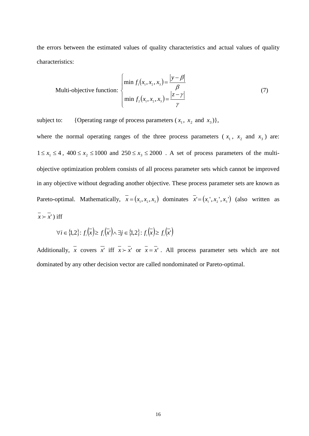the errors between the estimated values of quality characteristics and actual values of quality characteristics:

Multi-objective function: 
$$
\begin{cases} \min f_1(x_1, x_2, x_3) = \frac{|y - \beta|}{\beta} \\ \min f_2(x_1, x_2, x_3) = \frac{|z - \gamma|}{\gamma} \end{cases}
$$
 (7)

subject to: {Operating range of process parameters  $(x_1, x_2 \text{ and } x_3)$ },

where the normal operating ranges of the three process parameters ( $x_1$ ,  $x_2$  and  $x_3$ ) are:  $1 \le x_1 \le 4$ ,  $400 \le x_2 \le 1000$  and  $250 \le x_3 \le 2000$ . A set of process parameters of the multiobjective optimization problem consists of all process parameter sets which cannot be improved in any objective without degrading another objective. These process parameter sets are known as Pareto-optimal. Mathematically,  $\overline{x} = (x_1, x_2, x_3)$  dominates  $\overline{x} = (x_1, x_2, x_3)$  (also written as  $\overline{x} > \overline{x}'$ ) iff

$$
\forall i \in \{1,2\} \colon f_i\left(\overline{x}\right) \ge f_i\left(\overline{x'}\right) \land \exists j \in \{1,2\} \colon f_i\left(\overline{x}\right) \ge f_i\left(\overline{x'}\right)
$$

Additionally, *x* covers *x*<sup>'</sup> iff  $\overline{x} > \overline{x}$ <sup>'</sup> or  $\overline{x} = \overline{x}$ '. All process parameter sets which are not dominated by any other decision vector are called nondominated or Pareto-optimal.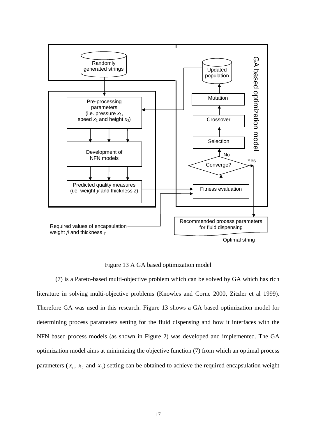

Figure 13 A GA based optimization model

(7) is a Pareto-based multi-objective problem which can be solved by GA which has rich literature in solving multi-objective problems (Knowles and Corne 2000, Zitzler et al 1999). Therefore GA was used in this research. Figure 13 shows a GA based optimization model for determining process parameters setting for the fluid dispensing and how it interfaces with the NFN based process models (as shown in Figure 2) was developed and implemented. The GA optimization model aims at minimizing the objective function (7) from which an optimal process parameters  $(x_1, x_2, x_3)$  setting can be obtained to achieve the required encapsulation weight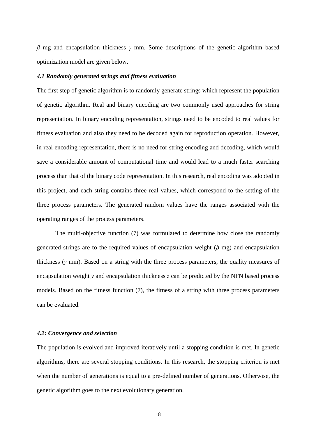*β* mg and encapsulation thickness *γ* mm. Some descriptions of the genetic algorithm based optimization model are given below.

#### *4.1 Randomly generated strings and fitness evaluation*

The first step of genetic algorithm is to randomly generate strings which represent the population of genetic algorithm. Real and binary encoding are two commonly used approaches for string representation. In binary encoding representation, strings need to be encoded to real values for fitness evaluation and also they need to be decoded again for reproduction operation. However, in real encoding representation, there is no need for string encoding and decoding, which would save a considerable amount of computational time and would lead to a much faster searching process than that of the binary code representation. In this research, real encoding was adopted in this project, and each string contains three real values, which correspond to the setting of the three process parameters. The generated random values have the ranges associated with the operating ranges of the process parameters.

The multi-objective function (7) was formulated to determine how close the randomly generated strings are to the required values of encapsulation weight (*β* mg) and encapsulation thickness (*γ* mm). Based on a string with the three process parameters, the quality measures of encapsulation weight *y* and encapsulation thickness *z* can be predicted by the NFN based process models. Based on the fitness function (7), the fitness of a string with three process parameters can be evaluated.

#### *4.2: Convergence and selection*

The population is evolved and improved iteratively until a stopping condition is met. In genetic algorithms, there are several stopping conditions. In this research, the stopping criterion is met when the number of generations is equal to a pre-defined number of generations. Otherwise, the genetic algorithm goes to the next evolutionary generation.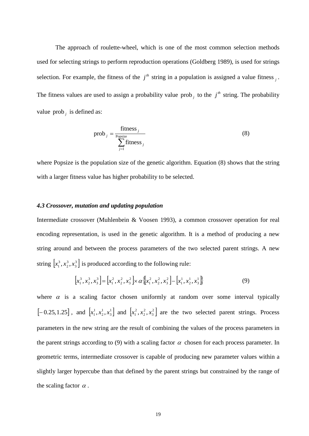The approach of roulette-wheel, which is one of the most common selection methods used for selecting strings to perform reproduction operations (Goldberg 1989), is used for strings selection. For example, the fitness of the  $j<sup>th</sup>$  string in a population is assigned a value fitness  $\beta$ . The fitness values are used to assign a probability value prob<sub>*i*</sub> to the  $j<sup>th</sup>$  string. The probability value prob *<sup>j</sup>* is defined as:

$$
prob_{j} = \frac{\text{fitness}_{j}}{\sum_{j=1}^{\text{Popsize}} \text{fitness}_{j}}
$$
(8)

where Popsize is the population size of the genetic algorithm. Equation (8) shows that the string with a larger fitness value has higher probability to be selected.

#### *4.3 Crossover, mutation and updating population*

Intermediate crossover (Muhlenbein & Voosen 1993), a common crossover operation for real encoding representation, is used in the genetic algorithm. It is a method of producing a new string around and between the process parameters of the two selected parent strings. A new string  $[x_1^3, x_2^3, x_3^3]$ 3 2  $\left[x_1^3, x_2^3, x_3^3\right]$  is produced according to the following rule:

$$
\[x_1^3, x_2^3, x_3^3\] = \[x_1^2, x_2^2, x_3^2\] \times \alpha \left[\[x_1^2, x_2^2, x_3^2\right] - \left[x_1^1, x_2^1, x_3^1\right] \tag{9}
$$

where  $\alpha$  is a scaling factor chosen uniformly at random over some interval typically  $[-0.25, 1.25]$ , and  $[x_1^1, x_2^1, x_3^1]$ 1 2  $[x_1^1, x_2^1, x_3^1]$  and  $[x_1^2, x_2^2, x_3^2]$ 2 2  $\left[x_1^2, x_2^2, x_3^2\right]$  are the two selected parent strings. Process parameters in the new string are the result of combining the values of the process parameters in the parent strings according to (9) with a scaling factor  $\alpha$  chosen for each process parameter. In geometric terms, intermediate crossover is capable of producing new parameter values within a slightly larger hypercube than that defined by the parent strings but constrained by the range of the scaling factor  $\alpha$ .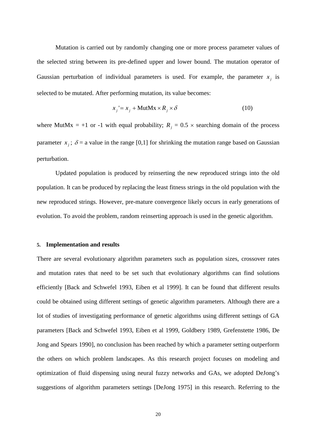Mutation is carried out by randomly changing one or more process parameter values of the selected string between its pre-defined upper and lower bound. The mutation operator of Gaussian perturbation of individual parameters is used. For example, the parameter  $x_i$  is selected to be mutated. After performing mutation, its value becomes:

$$
x_j = x_j + \text{MutMx} \times R_j \times \delta \tag{10}
$$

where MutMx = +1 or -1 with equal probability;  $R_j = 0.5 \times$  searching domain of the process parameter  $x_i$ ;  $\delta$  = a value in the range [0,1] for shrinking the mutation range based on Gaussian perturbation.

Updated population is produced by reinserting the new reproduced strings into the old population. It can be produced by replacing the least fitness strings in the old population with the new reproduced strings. However, pre-mature convergence likely occurs in early generations of evolution. To avoid the problem, random reinserting approach is used in the genetic algorithm.

#### **5. Implementation and results**

There are several evolutionary algorithm parameters such as population sizes, crossover rates and mutation rates that need to be set such that evolutionary algorithms can find solutions efficiently [Back and Schwefel 1993, Eiben et al 1999]. It can be found that different results could be obtained using different settings of genetic algorithm parameters. Although there are a lot of studies of investigating performance of genetic algorithms using different settings of GA parameters [Back and Schwefel 1993, Eiben et al 1999, Goldbery 1989, Grefenstette 1986, De Jong and Spears 1990], no conclusion has been reached by which a parameter setting outperform the others on which problem landscapes. As this research project focuses on modeling and optimization of fluid dispensing using neural fuzzy networks and GAs, we adopted DeJong's suggestions of algorithm parameters settings [DeJong 1975] in this research. Referring to the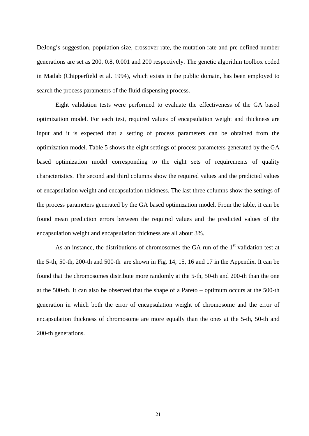DeJong's suggestion, population size, crossover rate, the mutation rate and pre-defined number generations are set as 200, 0.8, 0.001 and 200 respectively. The genetic algorithm toolbox coded in Matlab (Chipperfield et al. 1994), which exists in the public domain, has been employed to search the process parameters of the fluid dispensing process.

Eight validation tests were performed to evaluate the effectiveness of the GA based optimization model. For each test, required values of encapsulation weight and thickness are input and it is expected that a setting of process parameters can be obtained from the optimization model. Table 5 shows the eight settings of process parameters generated by the GA based optimization model corresponding to the eight sets of requirements of quality characteristics. The second and third columns show the required values and the predicted values of encapsulation weight and encapsulation thickness. The last three columns show the settings of the process parameters generated by the GA based optimization model. From the table, it can be found mean prediction errors between the required values and the predicted values of the encapsulation weight and encapsulation thickness are all about 3%.

As an instance, the distributions of chromosomes the GA run of the  $1<sup>st</sup>$  validation test at the 5-th, 50-th, 200-th and 500-th are shown in Fig. 14, 15, 16 and 17 in the Appendix. It can be found that the chromosomes distribute more randomly at the 5-th, 50-th and 200-th than the one at the 500-th. It can also be observed that the shape of a Pareto – optimum occurs at the 500-th generation in which both the error of encapsulation weight of chromosome and the error of encapsulation thickness of chromosome are more equally than the ones at the 5-th, 50-th and 200-th generations.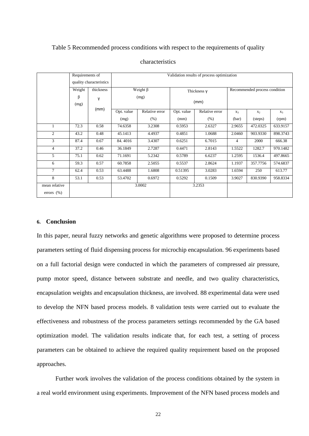#### Table 5 Recommended process conditions with respect to the requirements of quality

|                                 | Requirements of<br>quality characteristics |           | Validation results of process optimization |                |            |                |                               |                |          |  |  |  |
|---------------------------------|--------------------------------------------|-----------|--------------------------------------------|----------------|------------|----------------|-------------------------------|----------------|----------|--|--|--|
|                                 |                                            |           |                                            |                |            |                |                               |                |          |  |  |  |
|                                 | Weight                                     | thickness |                                            | Weight $\beta$ |            | Thickness y    | Recommended process condition |                |          |  |  |  |
|                                 | β                                          | γ         |                                            | (mg)           |            |                |                               |                |          |  |  |  |
|                                 | (mg)                                       |           |                                            |                |            | (mm)           |                               |                |          |  |  |  |
|                                 |                                            | (mm)      | Opt. value                                 | Relative error | Opt. value | Relative error | $X_3$                         | X <sub>2</sub> | $X_3$    |  |  |  |
|                                 |                                            |           | (mg)                                       | (% )           | (mm)       | (% )           | (bar)                         | (steps)        | (rpm)    |  |  |  |
| 1                               | 72.3                                       | 0.58      | 74.6358                                    | 3.2308         | 0.5953     | 2.6327         | 2.9655                        | 472.0325       | 633.9157 |  |  |  |
| 2                               | 43.2                                       | 0.48      | 45.1413                                    | 4.4937         | 0.4851     | 1.0688         | 2.0460                        | 903.9330       | 898.3743 |  |  |  |
| 3                               | 87.4                                       | 0.67      | 84.4016                                    | 3.4307         | 0.6251     | 6.7015         | $\overline{4}$                | 2000           | 666.38   |  |  |  |
| $\overline{4}$                  | 37.2                                       | 0.46      | 36.1849                                    | 2.7287         | 0.4471     | 2.8143         | 1.5522                        | 1282.7         | 970.1482 |  |  |  |
| 5                               | 75.1                                       | 0.62      | 71.1691                                    | 5.2342         | 0.5789     | 6.6237         | 1.2595                        | 1536.4         | 497.8665 |  |  |  |
| 6                               | 59.3                                       | 0.57      | 60.7858                                    | 2.5055         | 0.5537     | 2.8624         | 1.1937                        | 357.7756       | 574.6837 |  |  |  |
| $\tau$                          | 62.4                                       | 0.53      | 63.4488                                    | 1.6808         | 0.51395    | 3.0283         | 1.6594                        | 250            | 613.77   |  |  |  |
| 8                               | 53.1                                       | 0.53      | 53.4702                                    | 0.6972         | 0.5292     | 0.1509         | 3.9027                        | 830.9390       | 958.8334 |  |  |  |
| mean relative<br>errors $(\% )$ |                                            |           |                                            | 3.0002         |            | 3.2353         |                               |                |          |  |  |  |

#### characteristics

#### **6. Conclusion**

In this paper, neural fuzzy networks and genetic algorithms were proposed to determine process parameters setting of fluid dispensing process for microchip encapsulation. 96 experiments based on a full factorial design were conducted in which the parameters of compressed air pressure, pump motor speed, distance between substrate and needle, and two quality characteristics, encapsulation weights and encapsulation thickness, are involved. 88 experimental data were used to develop the NFN based process models. 8 validation tests were carried out to evaluate the effectiveness and robustness of the process parameters settings recommended by the GA based optimization model. The validation results indicate that, for each test, a setting of process parameters can be obtained to achieve the required quality requirement based on the proposed approaches.

Further work involves the validation of the process conditions obtained by the system in a real world environment using experiments. Improvement of the NFN based process models and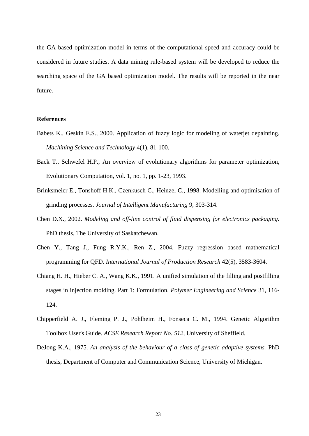the GA based optimization model in terms of the computational speed and accuracy could be considered in future studies. A data mining rule-based system will be developed to reduce the searching space of the GA based optimization model. The results will be reported in the near future.

#### **References**

- Babets K., Geskin E.S., 2000. Application of fuzzy logic for modeling of waterjet depainting. *Machining Science and Technology* 4(1), 81-100.
- Back T., Schwefel H.P., An overview of evolutionary algorithms for parameter optimization, Evolutionary Computation, vol. 1, no. 1, pp. 1-23, 1993.
- Brinksmeier E., Tonshoff H.K., Czenkusch C., Heinzel C., 1998. Modelling and optimisation of grinding processes. *Journal of Intelligent Manufacturing* 9, 303-314.
- Chen D.X., 2002. *Modeling and off-line control of fluid dispensing for electronics packaging.* PhD thesis, The University of Saskatchewan.
- Chen Y., Tang J., Fung R.Y.K., Ren Z., 2004. Fuzzy regression based mathematical programming for QFD. *International Journal of Production Research* 42(5), 3583-3604.
- Chiang H. H., Hieber C. A., Wang K.K., 1991. A unified simulation of the filling and postfilling stages in injection molding. Part 1: Formulation. *Polymer Engineering and Science* 31, 116- 124.
- Chipperfield A. J., Fleming P. J., Pohlheim H., Fonseca C. M., 1994. Genetic Algorithm Toolbox User's Guide. *ACSE Research Report No. 512*, University of Sheffield.
- DeJong K.A., 1975. *An analysis of the behaviour of a class of genetic adaptive systems.* PhD thesis, Department of Computer and Communication Science, University of Michigan.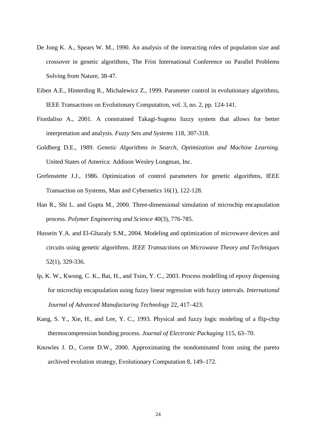- De Jong K. A., Spears W. M., 1990. An analysis of the interacting roles of population size and crossover in genetic algorithms, The Frist International Conference on Parallel Problems Solving from Nature, 38-47.
- Eiben A.E., Hinterding R., Michalewicz Z., 1999. Parameter control in evolutionary algorithms, IEEE Transactions on Evolutionary Computation, vol. 3, no. 2, pp. 124-141.
- Fiordaliso A., 2001. A constrained Takagi-Sugeno fuzzy system that allows for better interpretation and analysis. *Fuzzy Sets and Systems* 118, 307-318.
- Goldberg D.E., 1989. *Genetic Algorithms in Search, Optimization and Machine Learning.* United States of America: Addison Wesley Longman, Inc.
- Grefenstette J.J., 1986. Optimization of control parameters for genetic algorithms, IEEE Transaction on Systems, Man and Cybernetics 16(1), 122-128.
- Han R., Shi L. and Gupta M., 2000. Three-dimensional simulation of microchip encapsulation process. *Polymer Engineering and Science* 40(3), 776-785.
- Hussein Y.A. and El-Ghazaly S.M., 2004. Modeling and optimization of microwave devices and circuits using genetic algorithms. *IEEE Transactions on Microwave Theory and Techniques* 52(1), 329-336.
- Ip, K. W., Kwong, C. K., Bai, H., and Tsim, Y. C., 2003. Process modelling of epoxy dispensing for microchip encapsulation using fuzzy linear regression with fuzzy intervals. *International Journal of Advanced Manufacturing Technology* 22, 417–423.
- Kang, S. Y., Xie, H., and Lee, Y. C., 1993. Physical and fuzzy logic modeling of a flip-chip thermocompression bonding process. *Journal of Electronic Packaging* 115, 63–70.
- Knowles J. D., Corne D.W., 2000. Approximating the nondominated front using the pareto archived evolution strategy, Evolutionary Computation 8, 149–172.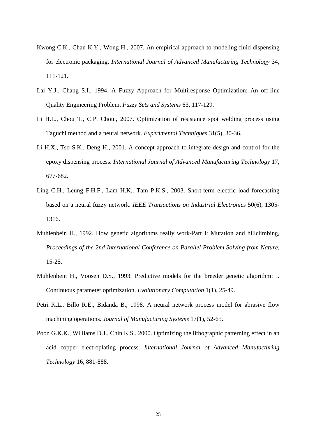- Kwong C.K., Chan K.Y., Wong H., 2007. An empirical approach to modeling fluid dispensing for electronic packaging. *International Journal of Advanced Manufacturing Technology* 34, 111-121.
- Lai Y.J., Chang S.I., 1994. A Fuzzy Approach for Multiresponse Optimization: An off-line Quality Engineering Problem. *Fuzzy Sets and Systems* 63, 117-129.
- Li H.L., Chou T., C.P. Chou., 2007. Optimization of resistance spot welding process using Taguchi method and a neural network. *Experimental Techniques* 31(5), 30-36.
- Li H.X., Tso S.K., Deng H., 2001. A concept approach to integrate design and control for the epoxy dispensing process. *International Journal of Advanced Manufacturing Technology* 17, 677-682.
- Ling C.H., Leung F.H.F., Lam H.K., Tam P.K.S., 2003. Short-term electric load forecasting based on a neural fuzzy network. *IEEE Transactions on Industrial Electronics* 50(6), 1305- 1316.
- Muhlenbein H., 1992. How genetic algorithms really work-Part I: Mutation and hillclimbing, *Proceedings of the 2nd International Conference on Parallel Problem Solving from Nature*, 15-25.
- Muhlenbein H., Voosen D.S., 1993. Predictive models for the breeder genetic algorithm: I. Continuous parameter optimization. *Evolutionary Computation* 1(1), 25-49.
- Petri K.L., Billo R.E., Bidanda B., 1998. A neural network process model for abrasive flow machining operations. *Journal of Manufacturing Systems* 17(1), 52-65.
- Poon G.K.K., Williams D.J., Chin K.S., 2000. Optimizing the lithographic patterning effect in an acid copper electroplating process. *International Journal of Advanced Manufacturing Technology* 16, 881-888.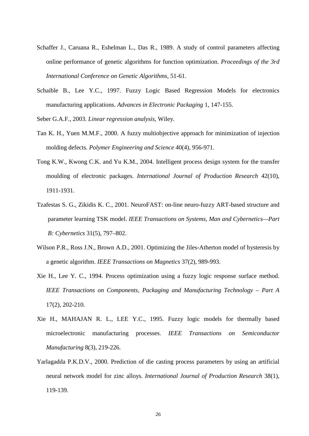- Schaffer J., Caruana R., Eshelman L., Das R., 1989. A study of control parameters affecting online performance of genetic algorithms for function optimization. *Proceedings of the 3rd International Conference on Genetic Algorithms*, 51-61.
- Schaible B., Lee Y.C., 1997. Fuzzy Logic Based Regression Models for electronics manufacturing applications. *Advances in Electronic Packaging* 1, 147-155.

Seber G.A.F., 2003. *Linear regression analysis,* Wiley.

- Tan K. H., Yuen M.M.F., 2000. A fuzzy multiobjective approach for minimization of injection molding defects. *Polymer Engineering and Science* 40(4), 956-971.
- Tong K.W., Kwong C.K. and Yu K.M., 2004. Intelligent process design system for the transfer moulding of electronic packages. *International Journal of Production Research* 42(10), 1911-1931.
- Tzafestas S. G., Zikidis K. C., 2001. NeuroFAST: on-line neuro-fuzzy ART-based structure and parameter learning TSK model. *IEEE Transactions on Systems, Man and Cybernetics—Part B: Cybernetics* 31(5), 797–802.
- Wilson P.R., Ross J.N., Brown A.D., 2001. Optimizing the Jiles-Atherton model of hysteresis by a genetic algorithm. *IEEE Transactions on Magnetics* 37(2), 989-993.
- Xie H., Lee Y. C., 1994. Process optimization using a fuzzy logic response surface method. *IEEE Transactions on Components, Packaging and Manufacturing Technology – Part A* 17(2), 202-210.
- Xie H., MAHAJAN R. L., LEE Y.C., 1995. Fuzzy logic models for thermally based microelectronic manufacturing processes. *IEEE Transactions on Semiconductor Manufacturing* 8(3), 219-226.
- Yarlagadda P.K.D.V., 2000. Prediction of die casting process parameters by using an artificial neural network model for zinc alloys. *International Journal of Production Research* 38(1), 119-139.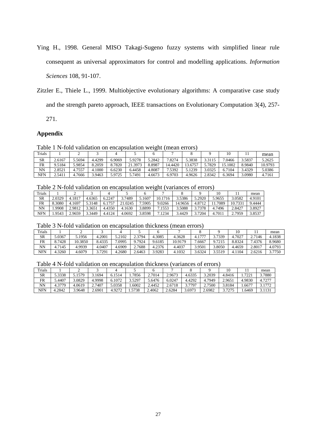- Ying H., 1998. General MISO Takagi-Sugeno fuzzy systems with simplified linear rule consequent as universal approximators for control and modelling applications. *Information Sciences* 108, 91-107.
- Zitzler E., Thiele L., 1999. Multiobjective evolutionary algorithms: A comparative case study and the strength pareto approach, IEEE transactions on Evolutionary Computation 3(4), 257-

271.

## **Appendix**

Table 1 N-fold validation on encapsulation weight (mean errors)

| Trials     |        | ∸      |        |        |         |        |         |         |        | 10     |        | mean    |  |
|------------|--------|--------|--------|--------|---------|--------|---------|---------|--------|--------|--------|---------|--|
| SR         | 2.6167 | .5694  | 4.4299 | 6.9069 | 5.9278  | 5.2842 | 8274.   | 5.3838  | 3.3115 | 7.0466 | 3.5837 | 5.2625  |  |
| FR         | 9.5184 | :9854  | 8.2059 | 8.7820 | 21.3973 | 8.8987 | 14.4420 | 13.6757 | .7829  | 5.1002 | 8.9840 | 10.9793 |  |
| NN         | 2.8521 | 4.7557 | 4.1000 | 6.6230 | 6.4458  | 4.8087 | '.5392  | 5.1239  | 3.0325 | 6.7104 | 3.4329 | 5.0386  |  |
| <b>NFN</b> | 2.5411 | .7666  | 3.9463 | 5.9725 | 5.7491  | 4.6673 | 6.9703  | 4.9626  | 2.8342 | 6.3694 | 3.0980 | 4.7161  |  |

Table 2 N-fold validation on encapsulation weight (variances of errors)

|           |        |        |        |        |       |        | $-$     |             |                      |        |        |        |
|-----------|--------|--------|--------|--------|-------|--------|---------|-------------|----------------------|--------|--------|--------|
| Trials    |        | ∼      |        |        |       |        |         |             |                      | 10     |        | mean   |
| <b>SR</b> | 2.0329 | +.1817 | 4.6365 | 6.2247 | 7489  | 1607ء  | 10.1716 | 3.5386      | 5.2920               | 5.9655 | 3.0582 | 4.9101 |
| FR        | 8.3080 | 1697ء  | 5.3148 | 5.1757 | .0245 | .5905  | 9.0266  | .9656<br>14 | $4.871$ <sup>~</sup> | .7089  | 10.733 | 9.4444 |
| NN        | .9908  | 2.9812 | 3.3651 | 4.4350 | .1630 | .8899  | .1553   | 3.5088      | 3.7378               | 4.7496 | 2.8427 | 3.8927 |
| NFN       | .9543  | 2.9659 | 3.3449 | 4.4124 | .0692 | 3.8598 | .1234   | 3.4429      | 7204                 | 4.701  | 2.7959 | 3.8537 |

Table 3 N-fold validation on encapsulation thickness (mean errors)

| Trials    |         |         |        |        |        |        |         |              |        |            |        | mean   |
|-----------|---------|---------|--------|--------|--------|--------|---------|--------------|--------|------------|--------|--------|
| <b>SR</b> | 5.0367  | .1956   | 4.2001 | .2102  | 3794   | .3085  | 4.3628  | $-77$<br>4.1 | 3.7339 | $+7027$    | 2.7146 | 4.1838 |
| FR        | 8.7428  | 10.3850 | 8.4335 | .0995  | 9.7924 | 9.6185 | 10.9179 | .6667        | 9.7215 | 8.8324     | 4376.  | 8.9680 |
| ΝN        | .7145   | 4.9939  | 4.0407 | 4.6909 | 2.7688 | 4.2376 | 4.4037  | 3.9501       | 3.8050 | 4.4659     | 2.8017 | 4.0793 |
| NFN       | $+3260$ | 4.6079  | 3.7291 | 1.2680 | 2.6463 | 3.9283 | 4.1032  | 3.6324       | 3.5519 | 104<br>4.1 | 2.6216 | 3.7750 |

Table 4 N-fold validation on encapsulation thickness (variances of errors)

| Trials    |         |        |        |              |        |        |        |        |        | 10     |              | mean   |
|-----------|---------|--------|--------|--------------|--------|--------|--------|--------|--------|--------|--------------|--------|
| SR        | 5.3338  | 3.1579 | 1694   | .1514<br>6.1 | .7856  | 2.7014 | 2.9673 | 4.6335 | 3.2039 | 4.8416 | 722<br>1.122 | 3.7880 |
| <b>FR</b> | 5.4407  | .0829  | 4.9998 | 6.1072       | 3.5297 | 5.6476 | 6.0247 | 4.4292 | 4.7949 | 2.9651 | 4.9830       | 4.727  |
| NN        | 4.3779  | .0619  | 2.7407 | .0358        | .6002  | 2.4452 | 2.6718 | .7797  | 2.7500 | 3.8184 | $0.667^{-}$  | 177'   |
| NFN       | $-2842$ | 3.9648 | 2.6901 | 4.9272       | 5738   | 2.4062 | 2.6284 | 3.6973 | 2.6982 | 3 7774 | . 6469       | 3.113  |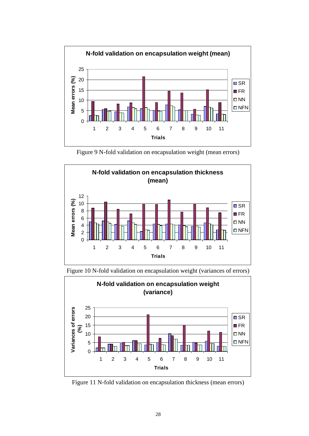

Figure 9 N-fold validation on encapsulation weight (mean errors)





Figure 10 N-fold validation on encapsulation weight (variances of errors)

Figure 11 N-fold validation on encapsulation thickness (mean errors)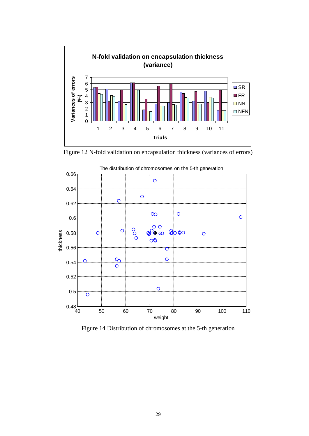

Figure 12 N-fold validation on encapsulation thickness (variances of errors)



Figure 14 Distribution of chromosomes at the 5-th generation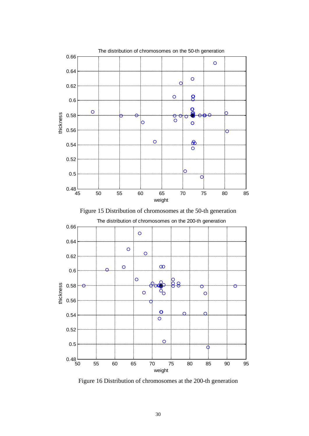





Figure 16 Distribution of chromosomes at the 200-th generation